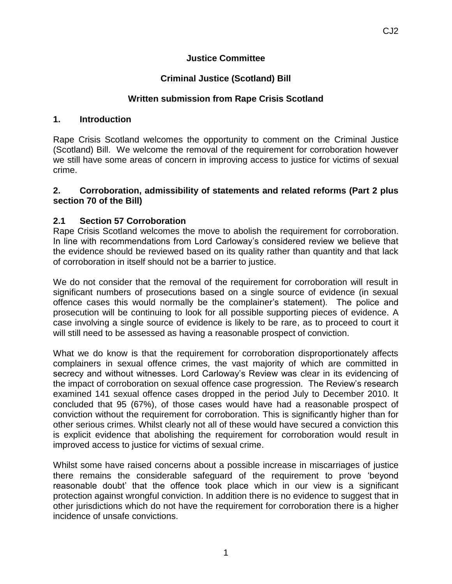#### **Justice Committee**

#### **Criminal Justice (Scotland) Bill**

#### **Written submission from Rape Crisis Scotland**

#### **1. Introduction**

Rape Crisis Scotland welcomes the opportunity to comment on the Criminal Justice (Scotland) Bill. We welcome the removal of the requirement for corroboration however we still have some areas of concern in improving access to justice for victims of sexual crime.

#### **2. Corroboration, admissibility of statements and related reforms (Part 2 plus section 70 of the Bill)**

#### **2.1 Section 57 Corroboration**

Rape Crisis Scotland welcomes the move to abolish the requirement for corroboration. In line with recommendations from Lord Carloway's considered review we believe that the evidence should be reviewed based on its quality rather than quantity and that lack of corroboration in itself should not be a barrier to justice.

We do not consider that the removal of the requirement for corroboration will result in significant numbers of prosecutions based on a single source of evidence (in sexual offence cases this would normally be the complainer's statement). The police and prosecution will be continuing to look for all possible supporting pieces of evidence. A case involving a single source of evidence is likely to be rare, as to proceed to court it will still need to be assessed as having a reasonable prospect of conviction.

What we do know is that the requirement for corroboration disproportionately affects complainers in sexual offence crimes, the vast majority of which are committed in secrecy and without witnesses. Lord Carloway's Review was clear in its evidencing of the impact of corroboration on sexual offence case progression. The Review's research examined 141 sexual offence cases dropped in the period July to December 2010. It concluded that 95 (67%), of those cases would have had a reasonable prospect of conviction without the requirement for corroboration. This is significantly higher than for other serious crimes. Whilst clearly not all of these would have secured a conviction this is explicit evidence that abolishing the requirement for corroboration would result in improved access to justice for victims of sexual crime.

Whilst some have raised concerns about a possible increase in miscarriages of justice there remains the considerable safeguard of the requirement to prove 'beyond reasonable doubt' that the offence took place which in our view is a significant protection against wrongful conviction. In addition there is no evidence to suggest that in other jurisdictions which do not have the requirement for corroboration there is a higher incidence of unsafe convictions.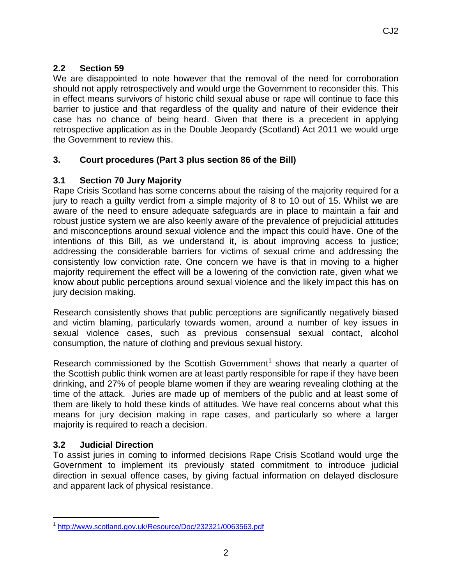## **2.2 Section 59**

We are disappointed to note however that the removal of the need for corroboration should not apply retrospectively and would urge the Government to reconsider this. This in effect means survivors of historic child sexual abuse or rape will continue to face this barrier to justice and that regardless of the quality and nature of their evidence their case has no chance of being heard. Given that there is a precedent in applying retrospective application as in the Double Jeopardy (Scotland) Act 2011 we would urge the Government to review this.

## **3. Court procedures (Part 3 plus section 86 of the Bill)**

## **3.1 Section 70 Jury Majority**

Rape Crisis Scotland has some concerns about the raising of the majority required for a jury to reach a guilty verdict from a simple majority of 8 to 10 out of 15. Whilst we are aware of the need to ensure adequate safeguards are in place to maintain a fair and robust justice system we are also keenly aware of the prevalence of prejudicial attitudes and misconceptions around sexual violence and the impact this could have. One of the intentions of this Bill, as we understand it, is about improving access to justice; addressing the considerable barriers for victims of sexual crime and addressing the consistently low conviction rate. One concern we have is that in moving to a higher majority requirement the effect will be a lowering of the conviction rate, given what we know about public perceptions around sexual violence and the likely impact this has on jury decision making.

Research consistently shows that public perceptions are significantly negatively biased and victim blaming, particularly towards women, around a number of key issues in sexual violence cases, such as previous consensual sexual contact, alcohol consumption, the nature of clothing and previous sexual history.

Research commissioned by the Scottish Government<sup>1</sup> shows that nearly a quarter of the Scottish public think women are at least partly responsible for rape if they have been drinking, and 27% of people blame women if they are wearing revealing clothing at the time of the attack. Juries are made up of members of the public and at least some of them are likely to hold these kinds of attitudes. We have real concerns about what this means for jury decision making in rape cases, and particularly so where a larger majority is required to reach a decision.

#### **3.2 Judicial Direction**

 $\overline{a}$ 

To assist juries in coming to informed decisions Rape Crisis Scotland would urge the Government to implement its previously stated commitment to introduce judicial direction in sexual offence cases, by giving factual information on delayed disclosure and apparent lack of physical resistance.

<sup>&</sup>lt;sup>1</sup> <http://www.scotland.gov.uk/Resource/Doc/232321/0063563.pdf>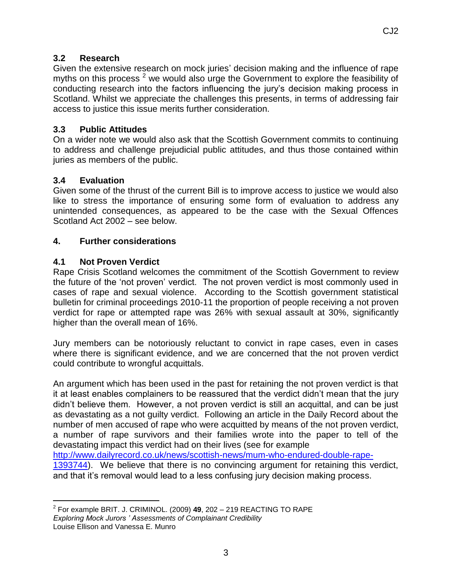## **3.2 Research**

Given the extensive research on mock juries' decision making and the influence of rape myths on this process  $2$  we would also urge the Government to explore the feasibility of conducting research into the factors influencing the jury's decision making process in Scotland. Whilst we appreciate the challenges this presents, in terms of addressing fair access to justice this issue merits further consideration.

#### **3.3 Public Attitudes**

On a wider note we would also ask that the Scottish Government commits to continuing to address and challenge prejudicial public attitudes, and thus those contained within juries as members of the public.

# **3.4 Evaluation**

Given some of the thrust of the current Bill is to improve access to justice we would also like to stress the importance of ensuring some form of evaluation to address any unintended consequences, as appeared to be the case with the Sexual Offences Scotland Act 2002 – see below.

## **4. Further considerations**

## **4.1 Not Proven Verdict**

Rape Crisis Scotland welcomes the commitment of the Scottish Government to review the future of the 'not proven' verdict. The not proven verdict is most commonly used in cases of rape and sexual violence. According to the Scottish government statistical bulletin for criminal proceedings 2010-11 the proportion of people receiving a not proven verdict for rape or attempted rape was 26% with sexual assault at 30%, significantly higher than the overall mean of 16%.

Jury members can be notoriously reluctant to convict in rape cases, even in cases where there is significant evidence, and we are concerned that the not proven verdict could contribute to wrongful acquittals.

An argument which has been used in the past for retaining the not proven verdict is that it at least enables complainers to be reassured that the verdict didn't mean that the jury didn't believe them. However, a not proven verdict is still an acquittal, and can be just as devastating as a not guilty verdict. Following an article in the Daily Record about the number of men accused of rape who were acquitted by means of the not proven verdict, a number of rape survivors and their families wrote into the paper to tell of the devastating impact this verdict had on their lives (see for example

[http://www.dailyrecord.co.uk/news/scottish-news/mum-who-endured-double-rape-](http://www.dailyrecord.co.uk/news/scottish-news/mum-who-endured-double-rape-1393744)

[1393744\)](http://www.dailyrecord.co.uk/news/scottish-news/mum-who-endured-double-rape-1393744). We believe that there is no convincing argument for retaining this verdict, and that it's removal would lead to a less confusing jury decision making process.

 $\overline{a}$ 2 For example BRIT. J. CRIMINOL. (2009) **49**, 202 – 219 REACTING TO RAPE *Exploring Mock Jurors ' Assessments of Complainant Credibility* Louise Ellison and Vanessa E. Munro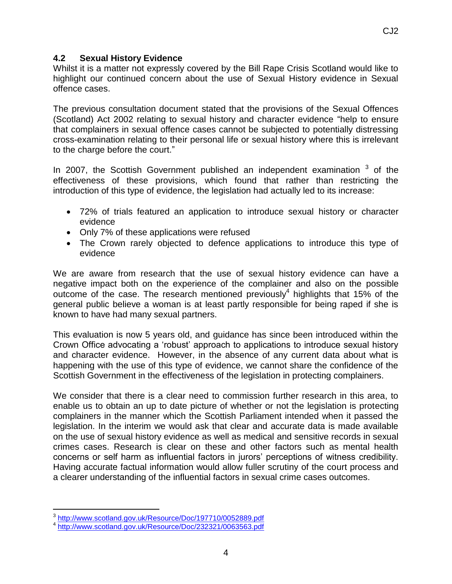#### **4.2 Sexual History Evidence**

Whilst it is a matter not expressly covered by the Bill Rape Crisis Scotland would like to highlight our continued concern about the use of Sexual History evidence in Sexual offence cases.

The previous consultation document stated that the provisions of the Sexual Offences (Scotland) Act 2002 relating to sexual history and character evidence "help to ensure that complainers in sexual offence cases cannot be subjected to potentially distressing cross-examination relating to their personal life or sexual history where this is irrelevant to the charge before the court."

In 2007, the Scottish Government published an independent examination  $3$  of the effectiveness of these provisions, which found that rather than restricting the introduction of this type of evidence, the legislation had actually led to its increase:

- 72% of trials featured an application to introduce sexual history or character evidence
- Only 7% of these applications were refused
- The Crown rarely objected to defence applications to introduce this type of evidence

We are aware from research that the use of sexual history evidence can have a negative impact both on the experience of the complainer and also on the possible outcome of the case. The research mentioned previously<sup>4</sup> highlights that 15% of the general public believe a woman is at least partly responsible for being raped if she is known to have had many sexual partners.

This evaluation is now 5 years old, and guidance has since been introduced within the Crown Office advocating a 'robust' approach to applications to introduce sexual history and character evidence. However, in the absence of any current data about what is happening with the use of this type of evidence, we cannot share the confidence of the Scottish Government in the effectiveness of the legislation in protecting complainers.

We consider that there is a clear need to commission further research in this area, to enable us to obtain an up to date picture of whether or not the legislation is protecting complainers in the manner which the Scottish Parliament intended when it passed the legislation. In the interim we would ask that clear and accurate data is made available on the use of sexual history evidence as well as medical and sensitive records in sexual crimes cases. Research is clear on these and other factors such as mental health concerns or self harm as influential factors in jurors' perceptions of witness credibility. Having accurate factual information would allow fuller scrutiny of the court process and a clearer understanding of the influential factors in sexual crime cases outcomes.

<sup>&</sup>lt;sup>3</sup><br><http://www.scotland.gov.uk/Resource/Doc/197710/0052889.pdf><br>1 http://www.scotland.gov.uk/Resource/Doc/222221/0062563.pdf

<http://www.scotland.gov.uk/Resource/Doc/232321/0063563.pdf>